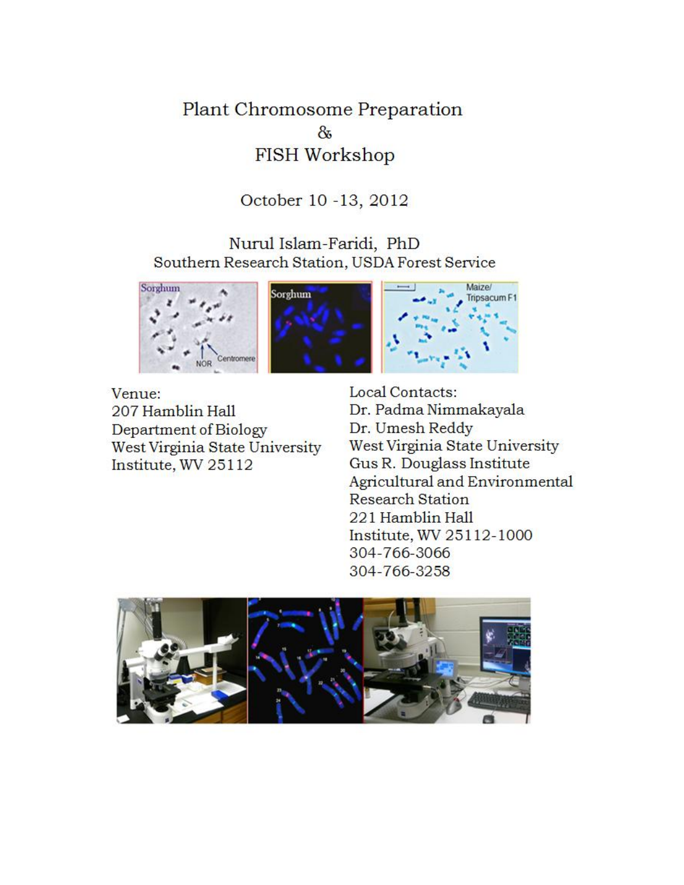Plant Chromosome Preparation 8 FISH Workshop

October 10 -13, 2012

Nurul Islam-Faridi, PhD Southern Research Station, USDA Forest Service





Venue: 207 Hamblin Hall Department of Biology West Virginia State University Institute, WV 25112

Local Contacts: Dr. Padma Nimmakayala Dr. Umesh Reddy West Virginia State University Gus R. Douglass Institute Agricultural and Environmental **Research Station** 221 Hamblin Hall Institute, WV 25112-1000 304-766-3066 304-766-3258

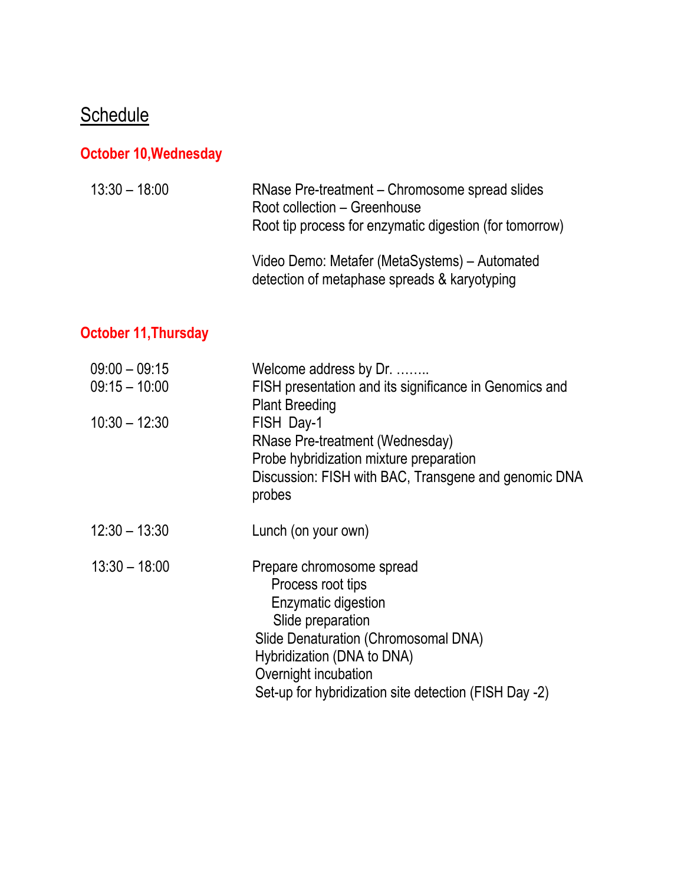# **Schedule**

## **October 10,Wednesday**

| $13:30 - 18:00$ | RNase Pre-treatment – Chromosome spread slides<br>Root collection - Greenhouse<br>Root tip process for enzymatic digestion (for tomorrow) |
|-----------------|-------------------------------------------------------------------------------------------------------------------------------------------|
|                 | Video Demo: Metafer (MetaSystems) – Automated<br>detection of metaphase spreads & karyotyping                                             |

### **October 11,Thursday**

| $09:00 - 09:15$<br>$09:15 - 10:00$<br>$10:30 - 12:30$ | Welcome address by Dr.<br>FISH presentation and its significance in Genomics and<br><b>Plant Breeding</b><br>FISH Day-1<br>RNase Pre-treatment (Wednesday)<br>Probe hybridization mixture preparation<br>Discussion: FISH with BAC, Transgene and genomic DNA<br>probes |
|-------------------------------------------------------|-------------------------------------------------------------------------------------------------------------------------------------------------------------------------------------------------------------------------------------------------------------------------|
| $12:30 - 13:30$                                       | Lunch (on your own)                                                                                                                                                                                                                                                     |
| $13:30 - 18:00$                                       | Prepare chromosome spread<br>Process root tips<br><b>Enzymatic digestion</b><br>Slide preparation<br>Slide Denaturation (Chromosomal DNA)<br>Hybridization (DNA to DNA)<br>Overnight incubation<br>Set-up for hybridization site detection (FISH Day -2)                |